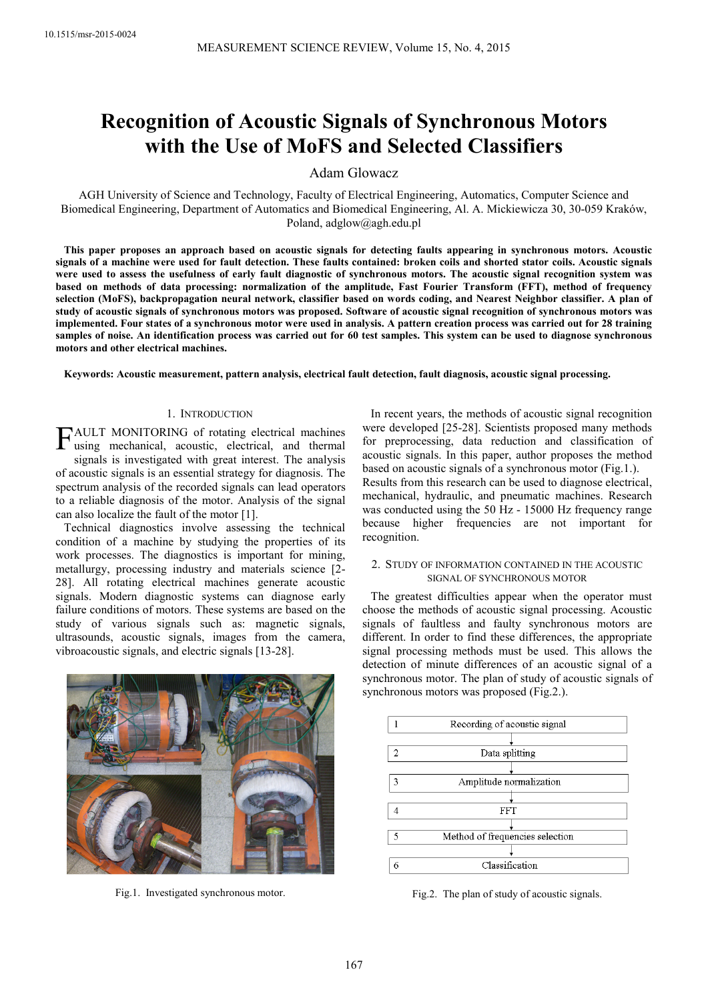# **Recognition of Acoustic Signals of Synchronous Motors with the Use of MoFS and Selected Classifiers**

Adam Glowacz

AGH University of Science and Technology, Faculty of Electrical Engineering, Automatics, Computer Science and Biomedical Engineering, Department of Automatics and Biomedical Engineering, Al. A. Mickiewicza 30, 30-059 Kraków, Poland, adglow@agh.edu.pl

**This paper proposes an approach based on acoustic signals for detecting faults appearing in synchronous motors. Acoustic signals of a machine were used for fault detection. These faults contained: broken coils and shorted stator coils. Acoustic signals were used to assess the usefulness of early fault diagnostic of synchronous motors. The acoustic signal recognition system was based on methods of data processing: normalization of the amplitude, Fast Fourier Transform (FFT), method of frequency selection (MoFS), backpropagation neural network, classifier based on words coding, and Nearest Neighbor classifier. A plan of study of acoustic signals of synchronous motors was proposed. Software of acoustic signal recognition of synchronous motors was implemented. Four states of a synchronous motor were used in analysis. A pattern creation process was carried out for 28 training samples of noise. An identification process was carried out for 60 test samples. This system can be used to diagnose synchronous motors and other electrical machines.** 

**Keywords: Acoustic measurement, pattern analysis, electrical fault detection, fault diagnosis, acoustic signal processing.** 

# 1. INTRODUCTION

FAULT MONITORING of rotating electrical machines<br>using mechanical, acoustic, electrical, and thermal using mechanical, acoustic, electrical, and thermal signals is investigated with great interest. The analysis of acoustic signals is an essential strategy for diagnosis. The spectrum analysis of the recorded signals can lead operators to a reliable diagnosis of the motor. Analysis of the signal can also localize the fault of the motor [1].

Technical diagnostics involve assessing the technical condition of a machine by studying the properties of its work processes. The diagnostics is important for mining, metallurgy, processing industry and materials science [2- 28]. All rotating electrical machines generate acoustic signals. Modern diagnostic systems can diagnose early failure conditions of motors. These systems are based on the study of various signals such as: magnetic signals, ultrasounds, acoustic signals, images from the camera, vibroacoustic signals, and electric signals [13-28].



Fig.1. Investigated synchronous motor.

In recent years, the methods of acoustic signal recognition were developed [25-28]. Scientists proposed many methods for preprocessing, data reduction and classification of acoustic signals. In this paper, author proposes the method based on acoustic signals of a synchronous motor (Fig.1.). Results from this research can be used to diagnose electrical, mechanical, hydraulic, and pneumatic machines. Research was conducted using the 50 Hz - 15000 Hz frequency range because higher frequencies are not important for recognition.

## 2. STUDY OF INFORMATION CONTAINED IN THE ACOUSTIC SIGNAL OF SYNCHRONOUS MOTOR

The greatest difficulties appear when the operator must choose the methods of acoustic signal processing. Acoustic signals of faultless and faulty synchronous motors are different. In order to find these differences, the appropriate signal processing methods must be used. This allows the detection of minute differences of an acoustic signal of a synchronous motor. The plan of study of acoustic signals of synchronous motors was proposed (Fig.2.).



Fig.2. The plan of study of acoustic signals.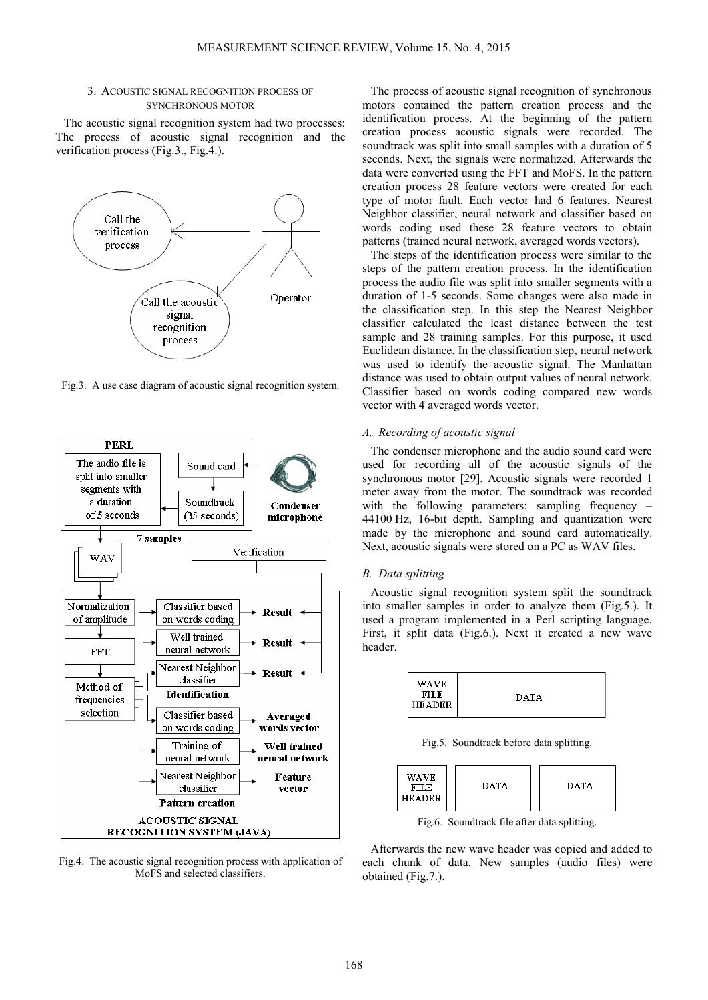#### 3. ACOUSTIC SIGNAL RECOGNITION PROCESS OF SYNCHRONOUS MOTOR

The acoustic signal recognition system had two processes: The process of acoustic signal recognition and the verification process (Fig.3., Fig.4.).



Fig.3. A use case diagram of acoustic signal recognition system.



Fig.4. The acoustic signal recognition process with application of MoFS and selected classifiers.

The process of acoustic signal recognition of synchronous motors contained the pattern creation process and the identification process. At the beginning of the pattern creation process acoustic signals were recorded. The soundtrack was split into small samples with a duration of 5 seconds. Next, the signals were normalized. Afterwards the data were converted using the FFT and MoFS. In the pattern creation process 28 feature vectors were created for each type of motor fault. Each vector had 6 features. Nearest Neighbor classifier, neural network and classifier based on words coding used these 28 feature vectors to obtain patterns (trained neural network, averaged words vectors).

The steps of the identification process were similar to the steps of the pattern creation process. In the identification process the audio file was split into smaller segments with a duration of 1-5 seconds. Some changes were also made in the classification step. In this step the Nearest Neighbor classifier calculated the least distance between the test sample and 28 training samples. For this purpose, it used Euclidean distance. In the classification step, neural network was used to identify the acoustic signal. The Manhattan distance was used to obtain output values of neural network. Classifier based on words coding compared new words vector with 4 averaged words vector.

## *A. Recording of acoustic signal*

The condenser microphone and the audio sound card were used for recording all of the acoustic signals of the synchronous motor [29]. Acoustic signals were recorded 1 meter away from the motor. The soundtrack was recorded with the following parameters: sampling frequency – 44100 Hz, 16-bit depth. Sampling and quantization were made by the microphone and sound card automatically. Next, acoustic signals were stored on a PC as WAV files.

## *B. Data splitting*

Acoustic signal recognition system split the soundtrack into smaller samples in order to analyze them (Fig.5.). It used a program implemented in a Perl scripting language. First, it split data (Fig.6.). Next it created a new wave header.



Fig.5. Soundtrack before data splitting.



Fig.6. Soundtrack file after data splitting.

Afterwards the new wave header was copied and added to each chunk of data. New samples (audio files) were obtained (Fig.7.).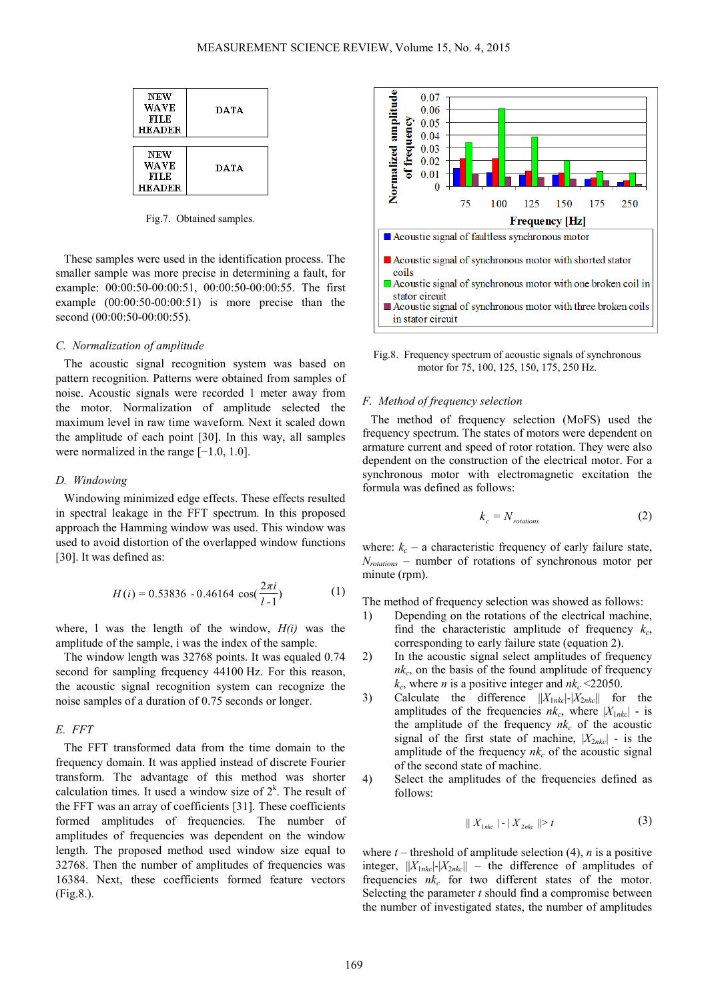| <b>NEW</b><br>WAVE<br>FILE<br><b>HEADER</b> | DATA        |
|---------------------------------------------|-------------|
|                                             |             |
| NEW<br>WAVE<br>FILE<br><b>HEADER</b>        | <b>DATA</b> |

Fig.7. Obtained samples.

These samples were used in the identification process. The smaller sample was more precise in determining a fault, for example: 00:00:50-00:00:51, 00:00:50-00:00:55. The first example (00:00:50-00:00:51) is more precise than the second (00:00:50-00:00:55).

## *C. Normalization of amplitude*

The acoustic signal recognition system was based on pattern recognition. Patterns were obtained from samples of noise. Acoustic signals were recorded 1 meter away from the motor. Normalization of amplitude selected the maximum level in raw time waveform. Next it scaled down the amplitude of each point [30]. In this way, all samples were normalized in the range [−1.0, 1.0].

## *D. Windowing*

Windowing minimized edge effects. These effects resulted in spectral leakage in the FFT spectrum. In this proposed approach the Hamming window was used. This window was used to avoid distortion of the overlapped window functions [30]. It was defined as:

$$
H(i) = 0.53836 - 0.46164 \cos(\frac{2\pi i}{l-1})
$$
 (1)

where, l was the length of the window, *H(i)* was the amplitude of the sample, i was the index of the sample.

The window length was 32768 points. It was equaled 0.74 second for sampling frequency 44100 Hz. For this reason, the acoustic signal recognition system can recognize the noise samples of a duration of 0.75 seconds or longer.

#### *E. FFT*

The FFT transformed data from the time domain to the frequency domain. It was applied instead of discrete Fourier transform. The advantage of this method was shorter calculation times. It used a window size of  $2<sup>k</sup>$ . The result of the FFT was an array of coefficients [31]. These coefficients formed amplitudes of frequencies. The number of amplitudes of frequencies was dependent on the window length. The proposed method used window size equal to 32768. Then the number of amplitudes of frequencies was 16384. Next, these coefficients formed feature vectors (Fig.8.).



Fig.8. Frequency spectrum of acoustic signals of synchronous motor for 75, 100, 125, 150, 175, 250 Hz.

### *F. Method of frequency selection*

The method of frequency selection (MoFS) used the frequency spectrum. The states of motors were dependent on armature current and speed of rotor rotation. They were also dependent on the construction of the electrical motor. For a synchronous motor with electromagnetic excitation the formula was defined as follows:

$$
k_c = N_{rotations} \tag{2}
$$

where:  $k_c$  – a characteristic frequency of early failure state, *Nrotations* – number of rotations of synchronous motor per minute (rpm).

The method of frequency selection was showed as follows:

- 1) Depending on the rotations of the electrical machine, find the characteristic amplitude of frequency  $k_c$ , corresponding to early failure state (equation 2).
- 2) In the acoustic signal select amplitudes of frequency *nk<sup>c</sup>* , on the basis of the found amplitude of frequency  $k_c$ , where *n* is a positive integer and  $nk_c \leq 22050$ .
- 3) Calculate the difference ||*X*1*nkc*|-|*X*2*nkc*|| for the amplitudes of the frequencies  $nk_c$ , where  $|X_{1nkc}|$  - is the amplitude of the frequency  $nk_c$  of the acoustic signal of the first state of machine,  $|X_{2nkc}|$  - is the amplitude of the frequency  $nk_c$  of the acoustic signal of the second state of machine.
- 4) Select the amplitudes of the frequencies defined as follows:

$$
|| X_{1nkc} | - | X_{2nkc} || \ge t
$$
 (3)

where  $t$  – threshold of amplitude selection (4),  $n$  is a positive integer,  $||X_{1nkc}|-|X_{2nkc}||$  – the difference of amplitudes of frequencies  $nk_c$  for two different states of the motor. Selecting the parameter *t* should find a compromise between the number of investigated states, the number of amplitudes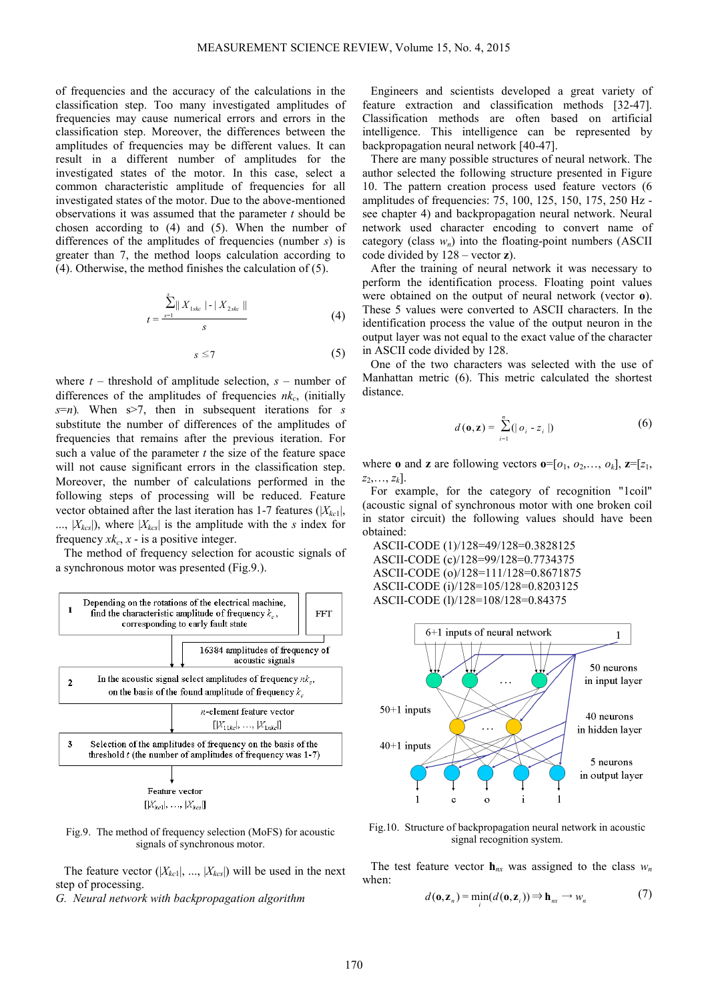of frequencies and the accuracy of the calculations in the classification step. Too many investigated amplitudes of frequencies may cause numerical errors and errors in the classification step. Moreover, the differences between the amplitudes of frequencies may be different values. It can result in a different number of amplitudes for the investigated states of the motor. In this case, select a common characteristic amplitude of frequencies for all investigated states of the motor. Due to the above-mentioned observations it was assumed that the parameter *t* should be chosen according to (4) and (5). When the number of differences of the amplitudes of frequencies (number *s*) is greater than 7, the method loops calculation according to (4). Otherwise, the method finishes the calculation of (5).

$$
t = \frac{\sum_{s=1}^{s} || X_{1skc} || - || X_{2skc} ||}{s}
$$
 (4)

$$
s \leq 7 \tag{5}
$$

where  $t$  – threshold of amplitude selection,  $s$  – number of differences of the amplitudes of frequencies *nk<sup>c</sup>* , (initially *s*=*n*)*.* When s>7, then in subsequent iterations for *s* substitute the number of differences of the amplitudes of frequencies that remains after the previous iteration. For such a value of the parameter *t* the size of the feature space will not cause significant errors in the classification step. Moreover, the number of calculations performed in the following steps of processing will be reduced. Feature vector obtained after the last iteration has 1-7 features (|*Xkc*1|, ...,  $|X_{kcs}|$ , where  $|X_{kcs}|$  is the amplitude with the *s* index for frequency  $x k_c$ ,  $x -$  is a positive integer.

The method of frequency selection for acoustic signals of a synchronous motor was presented (Fig.9.).



Fig.9. The method of frequency selection (MoFS) for acoustic signals of synchronous motor.

The feature vector  $(|X_{kc}|, ..., |X_{kc}|)$  will be used in the next step of processing.

*G. Neural network with backpropagation algorithm* 

Engineers and scientists developed a great variety of feature extraction and classification methods [32-47]. Classification methods are often based on artificial intelligence. This intelligence can be represented by backpropagation neural network [40-47].

There are many possible structures of neural network. The author selected the following structure presented in Figure 10. The pattern creation process used feature vectors (6 amplitudes of frequencies: 75, 100, 125, 150, 175, 250 Hz see chapter 4) and backpropagation neural network. Neural network used character encoding to convert name of category (class  $w_n$ ) into the floating-point numbers (ASCII code divided by 128 – vector **z**).

After the training of neural network it was necessary to perform the identification process. Floating point values were obtained on the output of neural network (vector **o**). These 5 values were converted to ASCII characters. In the identification process the value of the output neuron in the output layer was not equal to the exact value of the character in ASCII code divided by 128.

One of the two characters was selected with the use of Manhattan metric (6). This metric calculated the shortest distance.

$$
d(\mathbf{0}, \mathbf{z}) = \sum_{i=1}^{n} (|o_i - z_i|)
$$
 (6)

where **o** and **z** are following vectors  $\mathbf{o}=[o_1, o_2, \ldots, o_k],$   $\mathbf{z}=[z_1, z_2, \ldots, z_k]$  $z_2, \ldots, z_k$ .

For example, for the category of recognition "1coil" (acoustic signal of synchronous motor with one broken coil in stator circuit) the following values should have been obtained:

ASCII-CODE (1)/128=49/128=0.3828125 ASCII-CODE (c)/128=99/128=0.7734375 ASCII-CODE (o)/128=111/128=0.8671875 ASCII-CODE (i)/128=105/128=0.8203125 ASCII-CODE (l)/128=108/128=0.84375



Fig.10. Structure of backpropagation neural network in acoustic signal recognition system.

The test feature vector  $h_{nx}$  was assigned to the class  $w_n$ when:

$$
d(\mathbf{o}, \mathbf{z}_n) = \min_i (d(\mathbf{o}, \mathbf{z}_i)) \Rightarrow \mathbf{h}_{nx} \to w_n \tag{7}
$$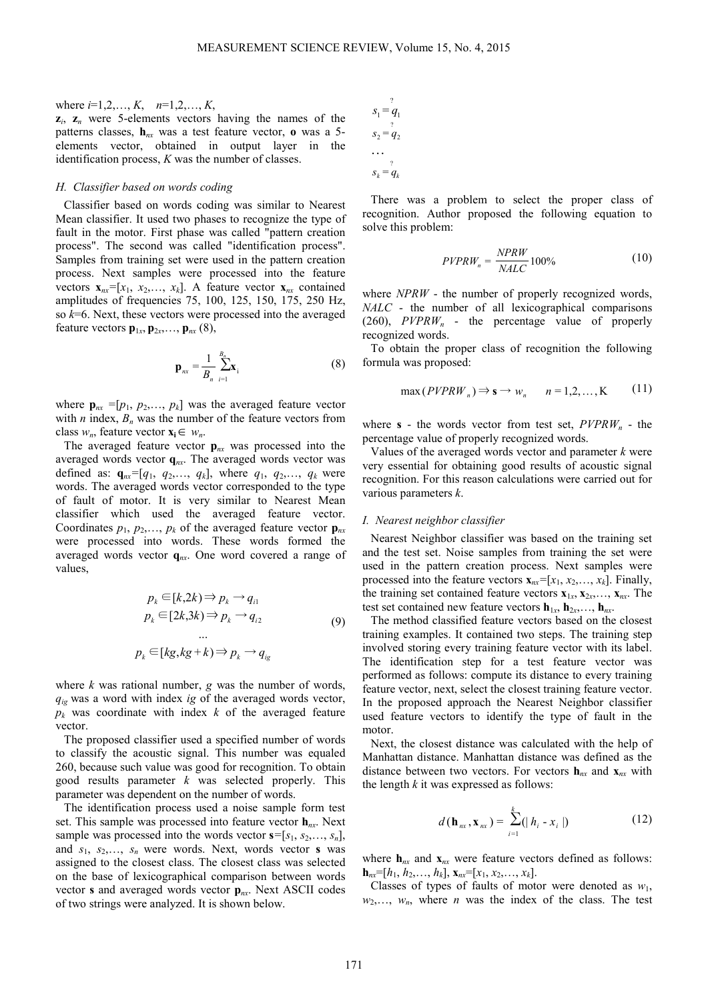## where *i*=1,2,…, *K*, *n*=1,2,…, *K*,

 $z_i$ ,  $z_n$  were 5-elements vectors having the names of the patterns classes, **h***nx* was a test feature vector, **o** was a 5 elements vector, obtained in output layer in the identification process, *K* was the number of classes.

## *H. Classifier based on words coding*

Classifier based on words coding was similar to Nearest Mean classifier. It used two phases to recognize the type of fault in the motor. First phase was called "pattern creation process". The second was called "identification process". Samples from training set were used in the pattern creation process. Next samples were processed into the feature vectors  $\mathbf{x}_{nx}$ =[ $x_1$ ,  $x_2$ ,...,  $x_k$ ]. A feature vector  $\mathbf{x}_{nx}$  contained amplitudes of frequencies 75, 100, 125, 150, 175, 250 Hz, so *k*=6. Next, these vectors were processed into the averaged feature vectors  $\mathbf{p}_{1x}, \mathbf{p}_{2x}, \dots, \mathbf{p}_{nx}$  (8),

$$
\mathbf{p}_{nx} = \frac{1}{B_n} \sum_{i=1}^{B_n} \mathbf{x}_i
$$
 (8)

where  $\mathbf{p}_{nx}$  =[ $p_1$ ,  $p_2$ ,...,  $p_k$ ] was the averaged feature vector with *n* index,  $B_n$  was the number of the feature vectors from class  $w_n$ , feature vector  $\mathbf{x}_i \in w_n$ .

The averaged feature vector  $\mathbf{p}_{nx}$  was processed into the averaged words vector **q***nx*. The averaged words vector was defined as:  $\mathbf{q}_{nx}$ =[ $q_1$ ,  $q_2$ ,...,  $q_k$ ], where  $q_1$ ,  $q_2$ ,...,  $q_k$  were words. The averaged words vector corresponded to the type of fault of motor. It is very similar to Nearest Mean classifier which used the averaged feature vector. Coordinates  $p_1, p_2, \ldots, p_k$  of the averaged feature vector  $\mathbf{p}_{nx}$ were processed into words. These words formed the averaged words vector **q***nx*. One word covered a range of values,

$$
p_k \in [k, 2k) \Rightarrow p_k \rightarrow q_{i1}
$$
  
\n
$$
p_k \in [2k, 3k) \Rightarrow p_k \rightarrow q_{i2}
$$
  
\n
$$
\dots
$$
  
\n
$$
p_k \in [kg, kg + k) \Rightarrow p_k \rightarrow q_{ig}
$$
  
\n(9)

where *k* was rational number, *g* was the number of words, *qig* was a word with index *ig* of the averaged words vector, *pk* was coordinate with index *k* of the averaged feature vector.

The proposed classifier used a specified number of words to classify the acoustic signal. This number was equaled 260, because such value was good for recognition. To obtain good results parameter *k* was selected properly. This parameter was dependent on the number of words.

The identification process used a noise sample form test set. This sample was processed into feature vector **h***nx*. Next sample was processed into the words vector  $\mathbf{s} = [s_1, s_2, \dots, s_n]$ , and  $s_1$ ,  $s_2$ ,...,  $s_n$  were words. Next, words vector **s** was assigned to the closest class. The closest class was selected on the base of lexicographical comparison between words vector **s** and averaged words vector **p***nx*. Next ASCII codes of two strings were analyzed. It is shown below.

$$
s_1 = \frac{q_1}{q_2}
$$
  
\n
$$
s_2 = \frac{q_2}{q_2}
$$
  
\n...  
\n
$$
s_k = \frac{q_k}{q_k}
$$

There was a problem to select the proper class of recognition. Author proposed the following equation to solve this problem:

$$
PVPRW_n = \frac{NPRW}{NALC}100\% \tag{10}
$$

where *NPRW* - the number of properly recognized words, *NALC* - the number of all lexicographical comparisons (260), *PVPRWn* - the percentage value of properly recognized words.

To obtain the proper class of recognition the following formula was proposed:

$$
\max(PVPRW_n) \Rightarrow \mathbf{s} \to w_n \qquad n = 1, 2, ..., K \tag{11}
$$

where **s** - the words vector from test set,  $PVPRW_n$  - the percentage value of properly recognized words.

Values of the averaged words vector and parameter *k* were very essential for obtaining good results of acoustic signal recognition. For this reason calculations were carried out for various parameters *k*.

#### *I. Nearest neighbor classifier*

Nearest Neighbor classifier was based on the training set and the test set. Noise samples from training the set were used in the pattern creation process. Next samples were processed into the feature vectors  $\mathbf{x}_{n}$ *z*=[ $x_1, x_2, ..., x_k$ ]. Finally, the training set contained feature vectors  $\mathbf{x}_{1x}, \mathbf{x}_{2x}, \ldots, \mathbf{x}_{nx}$ . The test set contained new feature vectors  $\mathbf{h}_{1x}$ ,  $\mathbf{h}_{2x}$ ,...,  $\mathbf{h}_{nx}$ .

The method classified feature vectors based on the closest training examples. It contained two steps. The training step involved storing every training feature vector with its label. The identification step for a test feature vector was performed as follows: compute its distance to every training feature vector, next, select the closest training feature vector. In the proposed approach the Nearest Neighbor classifier used feature vectors to identify the type of fault in the motor.

Next, the closest distance was calculated with the help of Manhattan distance. Manhattan distance was defined as the distance between two vectors. For vectors  $h_{nx}$  and  $x_{nx}$  with the length *k* it was expressed as follows:

$$
d(\mathbf{h}_{nx}, \mathbf{x}_{nx}) = \sum_{i=1}^{k} (|h_i - x_i|)
$$
 (12)

where  $h_{nx}$  and  $x_{nx}$  were feature vectors defined as follows:  $\mathbf{h}_{nx} = [h_1, h_2, \ldots, h_k], \mathbf{x}_{nx} = [x_1, x_2, \ldots, x_k].$ 

Classes of types of faults of motor were denoted as *w*1,  $w_2, \ldots, w_n$ , where *n* was the index of the class. The test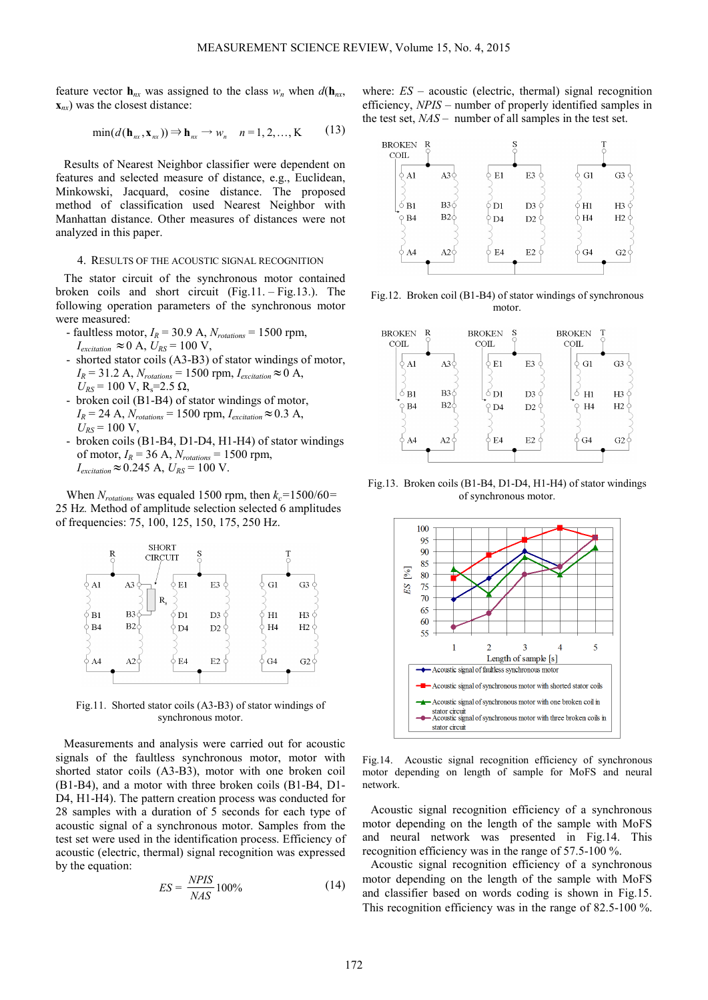feature vector  $h_{nx}$  was assigned to the class  $w_n$  when  $d(h_{nx},$ **x***nx*) was the closest distance:

$$
\min(d(\mathbf{h}_{nx}, \mathbf{x}_{nx})) \Rightarrow \mathbf{h}_{nx} \rightarrow w_n \quad n = 1, 2, ..., K \quad (13)
$$

Results of Nearest Neighbor classifier were dependent on features and selected measure of distance, e.g., Euclidean, Minkowski, Jacquard, cosine distance. The proposed method of classification used Nearest Neighbor with Manhattan distance. Other measures of distances were not analyzed in this paper.

## 4. RESULTS OF THE ACOUSTIC SIGNAL RECOGNITION

The stator circuit of the synchronous motor contained broken coils and short circuit (Fig.11. – Fig.13.). The following operation parameters of the synchronous motor were measured:

- faultless motor,  $I_R$  = 30.9 A,  $N_{rotations}$  = 1500 rpm,  $I_{excitation} \approx 0$  A,  $U_{RS} = 100$  V,
- shorted stator coils (A3-B3) of stator windings of motor,  $I_R$  = 31.2 A,  $N_{rotations}$  = 1500 rpm,  $I_{excitation}$  ≈ 0 A,  $U_{RS}$  = 100 V, R<sub>s</sub>=2.5 Ω,
- broken coil (B1-B4) of stator windings of motor,  $I_R$  = 24 A,  $N_{rotations}$  = 1500 rpm,  $I_{excitation} \approx 0.3$  A,  $U_{RS}$  = 100 V,
- broken coils (B1-B4, D1-D4, H1-H4) of stator windings of motor,  $I_R$  = 36 A,  $N_{rotations}$  = 1500 rpm,  $I_{excitation}$  ≈ 0.245 A,  $U_{RS}$  = 100 V.

When  $N_{rotations}$  was equaled 1500 rpm, then  $k_c$ =1500/60= 25 Hz*.* Method of amplitude selection selected 6 amplitudes of frequencies: 75, 100, 125, 150, 175, 250 Hz.



Fig.11. Shorted stator coils (A3-B3) of stator windings of synchronous motor.

Measurements and analysis were carried out for acoustic signals of the faultless synchronous motor, motor with shorted stator coils (A3-B3), motor with one broken coil (B1-B4), and a motor with three broken coils (B1-B4, D1- D4, H1-H4). The pattern creation process was conducted for 28 samples with a duration of 5 seconds for each type of acoustic signal of a synchronous motor. Samples from the test set were used in the identification process. Efficiency of acoustic (electric, thermal) signal recognition was expressed by the equation:

$$
ES = \frac{NPIS}{NAS} 100\% \tag{14}
$$

where: *ES* – acoustic (electric, thermal) signal recognition efficiency, *NPIS* – number of properly identified samples in the test set, *NAS* – number of all samples in the test set.



Fig.12. Broken coil (B1-B4) of stator windings of synchronous motor.



Fig.13. Broken coils (B1-B4, D1-D4, H1-H4) of stator windings of synchronous motor.



Fig.14. Acoustic signal recognition efficiency of synchronous motor depending on length of sample for MoFS and neural network.

Acoustic signal recognition efficiency of a synchronous motor depending on the length of the sample with MoFS and neural network was presented in Fig.14. This recognition efficiency was in the range of 57.5-100 %.

Acoustic signal recognition efficiency of a synchronous motor depending on the length of the sample with MoFS and classifier based on words coding is shown in Fig.15. This recognition efficiency was in the range of 82.5-100 %.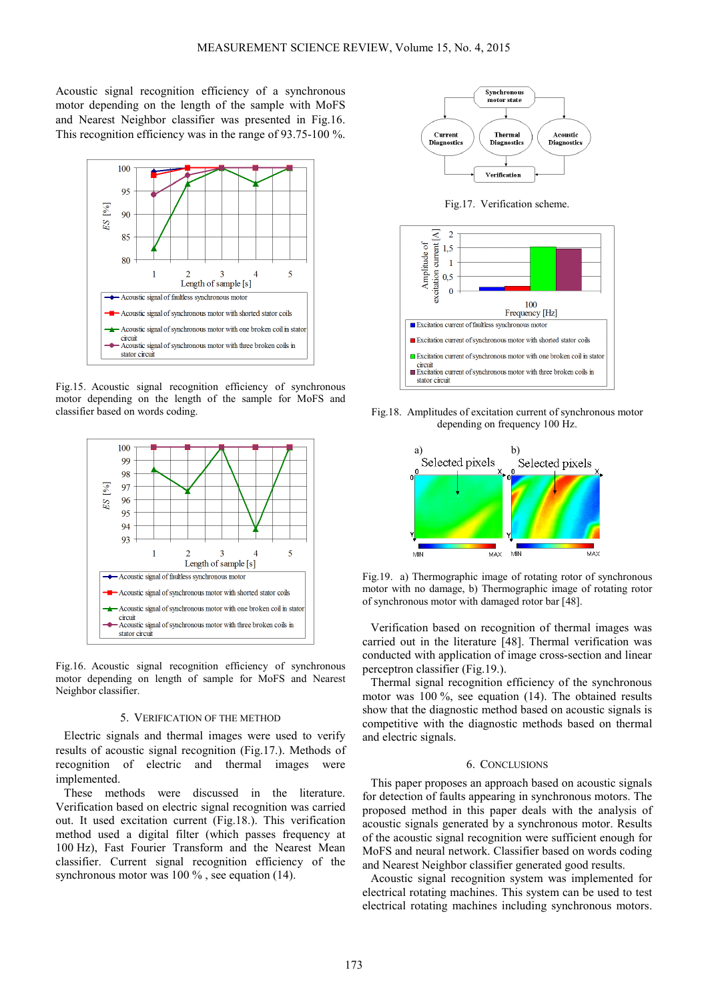Acoustic signal recognition efficiency of a synchronous motor depending on the length of the sample with MoFS and Nearest Neighbor classifier was presented in Fig.16. This recognition efficiency was in the range of 93.75-100 %.



Fig.15. Acoustic signal recognition efficiency of synchronous motor depending on the length of the sample for MoFS and classifier based on words coding.



Fig.16. Acoustic signal recognition efficiency of synchronous motor depending on length of sample for MoFS and Nearest Neighbor classifier.

## 5. VERIFICATION OF THE METHOD

Electric signals and thermal images were used to verify results of acoustic signal recognition (Fig.17.). Methods of recognition of electric and thermal images were implemented.

These methods were discussed in the literature. Verification based on electric signal recognition was carried out. It used excitation current (Fig.18.). This verification method used a digital filter (which passes frequency at 100 Hz), Fast Fourier Transform and the Nearest Mean classifier. Current signal recognition efficiency of the synchronous motor was 100 %, see equation (14).



Fig.17. Verification scheme.



Fig.18. Amplitudes of excitation current of synchronous motor depending on frequency 100 Hz.



Fig.19. a) Thermographic image of rotating rotor of synchronous motor with no damage, b) Thermographic image of rotating rotor of synchronous motor with damaged rotor bar [48].

Verification based on recognition of thermal images was carried out in the literature [48]. Thermal verification was conducted with application of image cross-section and linear perceptron classifier (Fig.19.).

Thermal signal recognition efficiency of the synchronous motor was 100 %, see equation (14). The obtained results show that the diagnostic method based on acoustic signals is competitive with the diagnostic methods based on thermal and electric signals.

## 6. CONCLUSIONS

This paper proposes an approach based on acoustic signals for detection of faults appearing in synchronous motors. The proposed method in this paper deals with the analysis of acoustic signals generated by a synchronous motor. Results of the acoustic signal recognition were sufficient enough for MoFS and neural network. Classifier based on words coding and Nearest Neighbor classifier generated good results.

Acoustic signal recognition system was implemented for electrical rotating machines. This system can be used to test electrical rotating machines including synchronous motors.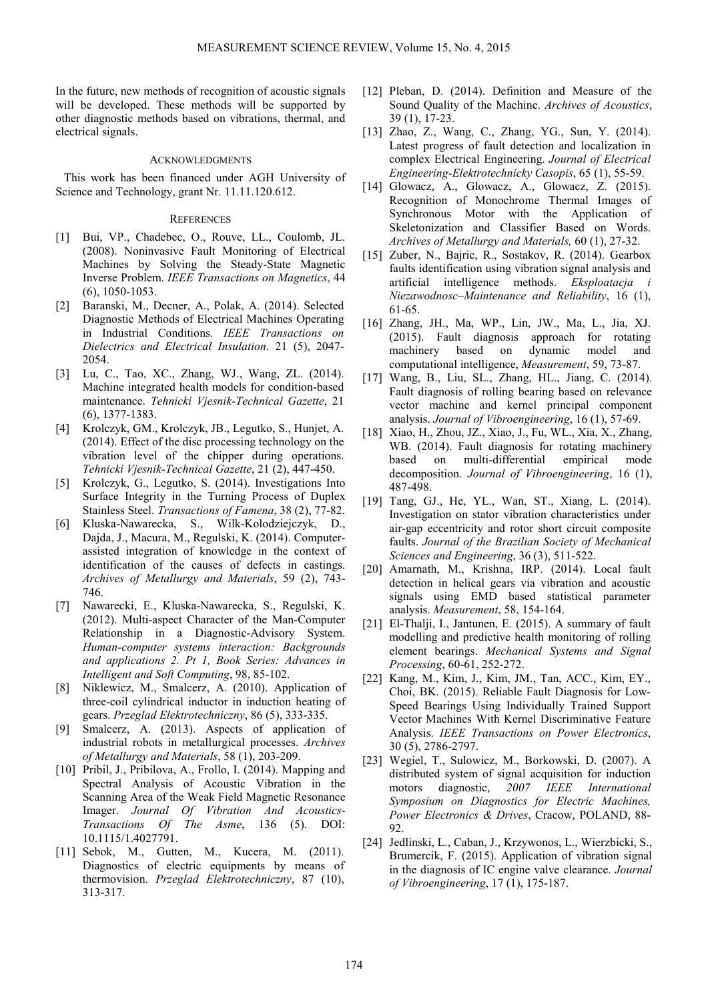In the future, new methods of recognition of acoustic signals will be developed. These methods will be supported by other diagnostic methods based on vibrations, thermal, and electrical signals.

## ACKNOWLEDGMENTS

This work has been financed under AGH University of Science and Technology, grant Nr. 11.11.120.612.

#### **REFERENCES**

- [1] Bui, VP., Chadebec, O., Rouve, LL., Coulomb, JL. (2008). Noninvasive Fault Monitoring of Electrical Machines by Solving the Steady-State Magnetic Inverse Problem. *IEEE Transactions on Magnetics*, 44 (6), 1050-1053.
- [2] Baranski, M., Decner, A., Polak, A. (2014). Selected Diagnostic Methods of Electrical Machines Operating in Industrial Conditions. *IEEE Transactions on Dielectrics and Electrical Insulation*. 21 (5), 2047- 2054.
- [3] Lu, C., Tao, XC., Zhang, WJ., Wang, ZL. (2014). Machine integrated health models for condition-based maintenance. *Tehnicki Vjesnik-Technical Gazette*, 21 (6), 1377-1383.
- [4] Krolczyk, GM., Krolczyk, JB., Legutko, S., Hunjet, A. (2014). Effect of the disc processing technology on the vibration level of the chipper during operations. *Tehnicki Vjesnik-Technical Gazette*, 21 (2), 447-450.
- [5] Krolczyk, G., Legutko, S. (2014). Investigations Into Surface Integrity in the Turning Process of Duplex Stainless Steel. *Transactions of Famena*, 38 (2), 77-82.
- [6] Kluska-Nawarecka, S., Wilk-Kolodziejczyk, D., Dajda, J., Macura, M., Regulski, K. (2014). Computerassisted integration of knowledge in the context of identification of the causes of defects in castings. *Archives of Metallurgy and Materials*, 59 (2), 743- 746.
- [7] Nawarecki, E., Kluska-Nawarecka, S., Regulski, K. (2012). Multi-aspect Character of the Man-Computer Relationship in a Diagnostic-Advisory System. *Human-computer systems interaction: Backgrounds and applications 2. Pt 1, Book Series: Advances in Intelligent and Soft Computing*, 98, 85-102.
- [8] Niklewicz, M., Smalcerz, A. (2010). Application of three-coil cylindrical inductor in induction heating of gears. *Przeglad Elektrotechniczny*, 86 (5), 333-335.
- [9] Smalcerz, A. (2013). Aspects of application of industrial robots in metallurgical processes. *Archives of Metallurgy and Materials*, 58 (1), 203-209.
- [10] Pribil, J., Pribilova, A., Frollo, I. (2014). Mapping and Spectral Analysis of Acoustic Vibration in the Scanning Area of the Weak Field Magnetic Resonance Imager. *Journal Of Vibration And Acoustics-Transactions Of The Asme*, 136 (5). DOI: 10.1115/1.4027791.
- [11] Sebok, M., Gutten, M., Kucera, M. (2011). Diagnostics of electric equipments by means of thermovision. *Przeglad Elektrotechniczny*, 87 (10), 313-317.
- [12] Pleban, D. (2014). Definition and Measure of the Sound Quality of the Machine. *Archives of Acoustics*, 39 (1), 17-23.
- [13] Zhao, Z., Wang, C., Zhang, YG., Sun, Y. (2014). Latest progress of fault detection and localization in complex Electrical Engineering. *Journal of Electrical Engineering-Elektrotechnicky Casopis*, 65 (1), 55-59.
- [14] Glowacz, A., Glowacz, A., Glowacz, Z. (2015). Recognition of Monochrome Thermal Images of Synchronous Motor with the Application of Skeletonization and Classifier Based on Words. *Archives of Metallurgy and Materials,* 60 (1), 27-32.
- [15] Zuber, N., Bajric, R., Sostakov, R. (2014). Gearbox faults identification using vibration signal analysis and artificial intelligence methods. *Eksploatacja i Niezawodnosc–Maintenance and Reliability*, 16 (1), 61-65.
- [16] Zhang, JH., Ma, WP., Lin, JW., Ma, L., Jia, XJ. (2015). Fault diagnosis approach for rotating machinery based on dynamic model and computational intelligence, *Measurement*, 59, 73-87.
- [17] Wang, B., Liu, SL., Zhang, HL., Jiang, C. (2014). Fault diagnosis of rolling bearing based on relevance vector machine and kernel principal component analysis. *Journal of Vibroengineering*, 16 (1), 57-69.
- [18] Xiao, H., Zhou, JZ., Xiao, J., Fu, WL., Xia, X., Zhang, WB. (2014). Fault diagnosis for rotating machinery based on multi-differential empirical mode decomposition. *Journal of Vibroengineering*, 16 (1), 487-498.
- [19] Tang, GJ., He, YL., Wan, ST., Xiang, L. (2014). Investigation on stator vibration characteristics under air-gap eccentricity and rotor short circuit composite faults. *Journal of the Brazilian Society of Mechanical Sciences and Engineering*, 36 (3), 511-522.
- [20] Amarnath, M., Krishna, IRP. (2014). Local fault detection in helical gears via vibration and acoustic signals using EMD based statistical parameter analysis. *Measurement*, 58, 154-164.
- [21] El-Thalji, I., Jantunen, E. (2015). A summary of fault modelling and predictive health monitoring of rolling element bearings. *Mechanical Systems and Signal Processing*, 60-61, 252-272.
- [22] Kang, M., Kim, J., Kim, JM., Tan, ACC., Kim, EY., Choi, BK. (2015). Reliable Fault Diagnosis for Low-Speed Bearings Using Individually Trained Support Vector Machines With Kernel Discriminative Feature Analysis. *IEEE Transactions on Power Electronics*, 30 (5), 2786-2797.
- [23] Wegiel, T., Sulowicz, M., Borkowski, D. (2007). A distributed system of signal acquisition for induction motors diagnostic, *2007 IEEE International Symposium on Diagnostics for Electric Machines, Power Electronics & Drives*, Cracow, POLAND, 88- 92.
- [24] Jedlinski, L., Caban, J., Krzywonos, L., Wierzbicki, S., Brumercik, F. (2015). Application of vibration signal in the diagnosis of IC engine valve clearance. *Journal of Vibroengineering*, 17 (1), 175-187.